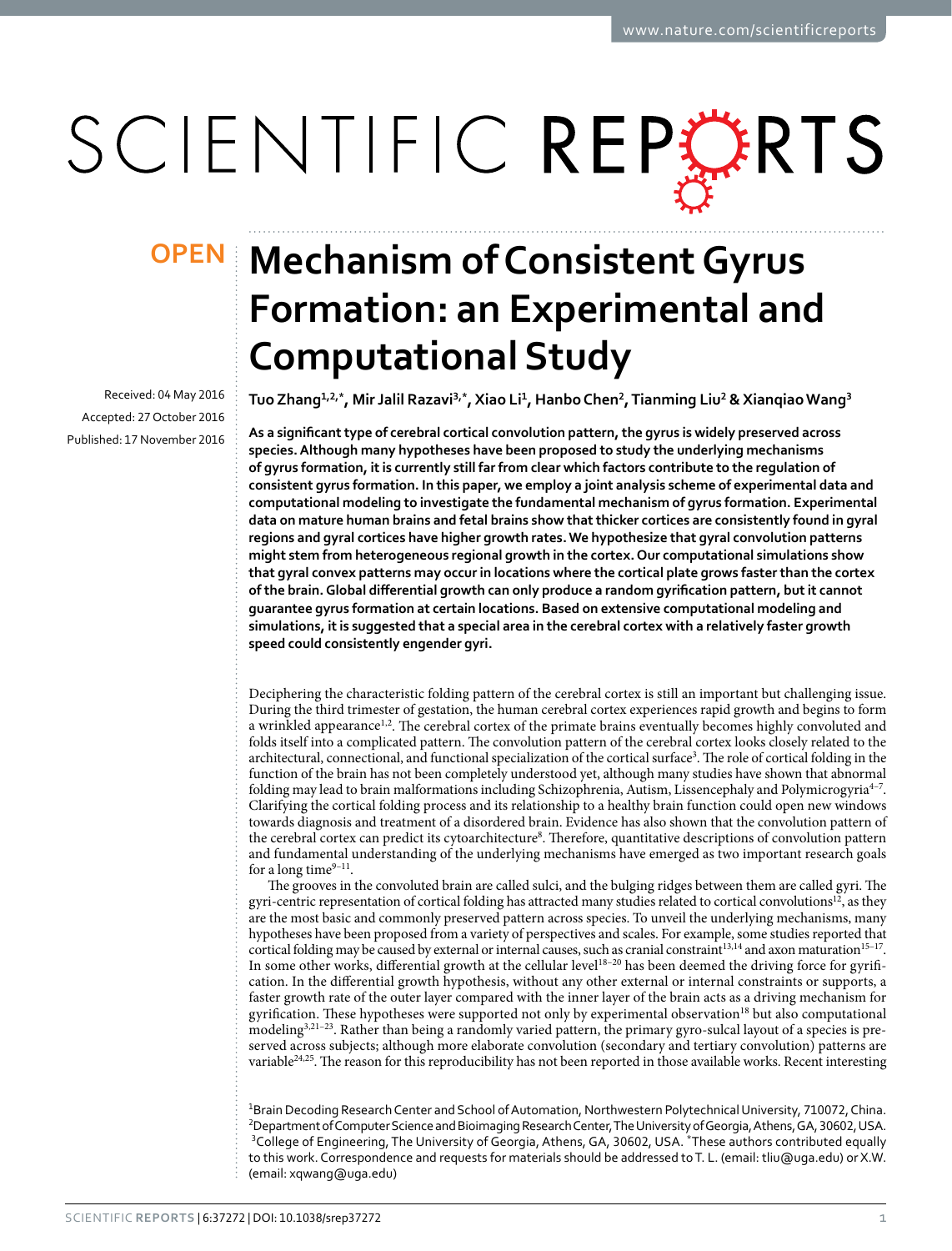# SCIENTIFIC REPORTS

Received: 04 May 2016 accepted: 27 October 2016 Published: 17 November 2016

## **Mechanism of Consistent Gyrus OPENFormation: an Experimental and Computational Study**

Tuo Zhang<sup>1,2,\*</sup>, Mir Jalil Razavi<sup>3,\*</sup>, Xiao Li<sup>1</sup>, Hanbo Chen<sup>2</sup>, Tianming Liu<sup>2</sup> & Xianqiao Wang<sup>3</sup>

**As a significant type of cerebral cortical convolution pattern, the gyrus is widely preserved across species. Although many hypotheses have been proposed to study the underlying mechanisms of gyrus formation, it is currently still far from clear which factors contribute to the regulation of consistent gyrus formation. In this paper, we employ a joint analysis scheme of experimental data and computational modeling to investigate the fundamental mechanism of gyrus formation. Experimental data on mature human brains and fetal brains show that thicker cortices are consistently found in gyral regions and gyral cortices have higher growth rates. We hypothesize that gyral convolution patterns might stem from heterogeneous regional growth in the cortex. Our computational simulations show that gyral convex patterns may occur in locations where the cortical plate grows faster than the cortex of the brain. Global differential growth can only produce a random gyrification pattern, but it cannot guarantee gyrus formation at certain locations. Based on extensive computational modeling and simulations, it is suggested that a special area in the cerebral cortex with a relatively faster growth speed could consistently engender gyri.**

Deciphering the characteristic folding pattern of the cerebral cortex is still an important but challenging issue. During the third trimester of gestation, the human cerebral cortex experiences rapid growth and begins to form a wrinkled appearance<sup>1[,2](#page-8-1)</sup>. The cerebral cortex of the primate brains eventually becomes highly convoluted and folds itself into a complicated pattern. The convolution pattern of the cerebral cortex looks closely related to the architectural, connectional, and functional specialization of the cortical surface<sup>3</sup>. The role of cortical folding in the function of the brain has not been completely understood yet, although many studies have shown that abnormal folding may lead to brain malformations including Schizophrenia, Autism, Lissencephaly and Polymicrogyria[4–7.](#page-8-3) Clarifying the cortical folding process and its relationship to a healthy brain function could open new windows towards diagnosis and treatment of a disordered brain. Evidence has also shown that the convolution pattern of the cerebral cortex can predict its cytoarchitecture<sup>[8](#page-8-4)</sup>. Therefore, quantitative descriptions of convolution pattern and fundamental understanding of the underlying mechanisms have emerged as two important research goals for a long time $9-11$ .

The grooves in the convoluted brain are called sulci, and the bulging ridges between them are called gyri. The gyri-centric representation of cortical folding has attracted many studies related to cortical convolutions<sup>12</sup>, as they are the most basic and commonly preserved pattern across species. To unveil the underlying mechanisms, many hypotheses have been proposed from a variety of perspectives and scales. For example, some studies reported that cortical folding may be caused by external or internal causes, such as cranial constraint<sup>13,[14](#page-8-8)</sup> and axon maturation<sup>15-17</sup>. In some other works, differential growth at the cellular level<sup>18-20</sup> has been deemed the driving force for gyrification. In the differential growth hypothesis, without any other external or internal constraints or supports, a faster growth rate of the outer layer compared with the inner layer of the brain acts as a driving mechanism for gyrification. These hypotheses were supported not only by experimental observatio[n18](#page-8-10) but also computational modelin[g3](#page-8-2)[,21–23.](#page-8-11) Rather than being a randomly varied pattern, the primary gyro-sulcal layout of a species is preserved across subjects; although more elaborate convolution (secondary and tertiary convolution) patterns are variable[24,](#page-8-12)[25](#page-8-13). The reason for this reproducibility has not been reported in those available works. Recent interesting

<sup>1</sup>Brain Decoding Research Center and School of Automation, Northwestern Polytechnical University, 710072, China. 2 Department of Computer Science and Bioimaging Research Center, The University of Georgia, Athens, GA, 30602, USA. 3 College of Engineering, The University of Georgia, Athens, GA, 30602, USA. \*These authors contributed equally to this work. Correspondence and requests for materials should be addressed to T. L. (email: [tliu@uga.edu](mailto:tliu@uga.edu)) or X.W. (email: [xqwang@uga.edu\)](mailto:xqwang@uga.edu)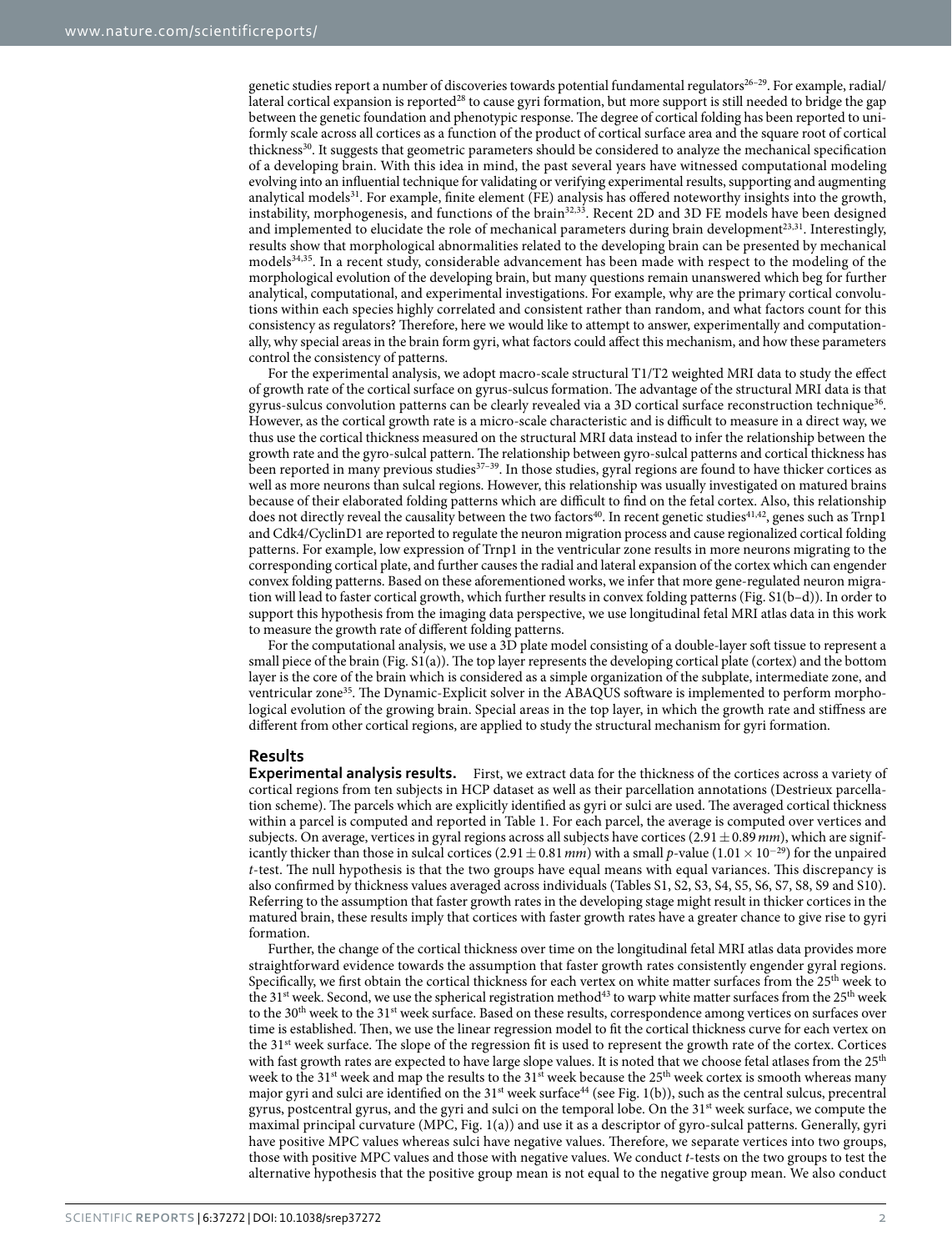genetic studies report a number of discoveries towards potential fundamental regulators<sup>26–29</sup>. For example, radial/ lateral cortical expansion is reported<sup>[28](#page-9-0)</sup> to cause gyri formation, but more support is still needed to bridge the gap between the genetic foundation and phenotypic response. The degree of cortical folding has been reported to uniformly scale across all cortices as a function of the product of cortical surface area and the square root of cortical thickness<sup>30</sup>. It suggests that geometric parameters should be considered to analyze the mechanical specification of a developing brain. With this idea in mind, the past several years have witnessed computational modeling evolving into an influential technique for validating or verifying experimental results, supporting and augmenting analytical models<sup>31</sup>. For example, finite element (FE) analysis has offered noteworthy insights into the growth, instability, morphogenesis, and functions of the brain<sup>[32](#page-9-3),33</sup>. Recent 2D and 3D FE models have been designed and implemented to elucidate the role of mechanical parameters during brain development<sup>[23,](#page-8-15)31</sup>. Interestingly, results show that morphological abnormalities related to the developing brain can be presented by mechanical models[34](#page-9-5),[35](#page-9-6). In a recent study, considerable advancement has been made with respect to the modeling of the morphological evolution of the developing brain, but many questions remain unanswered which beg for further analytical, computational, and experimental investigations. For example, why are the primary cortical convolutions within each species highly correlated and consistent rather than random, and what factors count for this consistency as regulators? Therefore, here we would like to attempt to answer, experimentally and computationally, why special areas in the brain form gyri, what factors could affect this mechanism, and how these parameters control the consistency of patterns.

For the experimental analysis, we adopt macro-scale structural T1/T2 weighted MRI data to study the effect of growth rate of the cortical surface on gyrus-sulcus formation. The advantage of the structural MRI data is that gyrus-sulcus convolution patterns can be clearly revealed via a 3D cortical surface reconstruction technique<sup>36</sup>. However, as the cortical growth rate is a micro-scale characteristic and is difficult to measure in a direct way, we thus use the cortical thickness measured on the structural MRI data instead to infer the relationship between the growth rate and the gyro-sulcal pattern. The relationship between gyro-sulcal patterns and cortical thickness has been reported in many previous studies<sup>[37–39](#page-9-8)</sup>. In those studies, gyral regions are found to have thicker cortices as well as more neurons than sulcal regions. However, this relationship was usually investigated on matured brains because of their elaborated folding patterns which are difficult to find on the fetal cortex. Also, this relationship does not directly reveal the causality between the two factors<sup>40</sup>. In recent genetic studies<sup>[41](#page-9-10),[42](#page-9-11)</sup>, genes such as Trnp1 and Cdk4/CyclinD1 are reported to regulate the neuron migration process and cause regionalized cortical folding patterns. For example, low expression of Trnp1 in the ventricular zone results in more neurons migrating to the corresponding cortical plate, and further causes the radial and lateral expansion of the cortex which can engender convex folding patterns. Based on these aforementioned works, we infer that more gene-regulated neuron migration will lead to faster cortical growth, which further results in convex folding patterns (Fig. S1(b–d)). In order to support this hypothesis from the imaging data perspective, we use longitudinal fetal MRI atlas data in this work to measure the growth rate of different folding patterns.

For the computational analysis, we use a 3D plate model consisting of a double-layer soft tissue to represent a small piece of the brain (Fig. S1(a)). The top layer represents the developing cortical plate (cortex) and the bottom layer is the core of the brain which is considered as a simple organization of the subplate, intermediate zone, and ventricular zone<sup>[35](#page-9-6)</sup>. The Dynamic-Explicit solver in the ABAQUS software is implemented to perform morphological evolution of the growing brain. Special areas in the top layer, in which the growth rate and stiffness are different from other cortical regions, are applied to study the structural mechanism for gyri formation.

#### **Results**

**Experimental analysis results.** First, we extract data for the thickness of the cortices across a variety of cortical regions from ten subjects in HCP dataset as well as their parcellation annotations (Destrieux parcellation scheme). The parcels which are explicitly identified as gyri or sulci are used. The averaged cortical thickness within a parcel is computed and reported in [Table 1](#page-2-0). For each parcel, the average is computed over vertices and subjects. On average, vertices in gyral regions across all subjects have cortices (2.91±0.89*mm*), which are significantly thicker than those in sulcal cortices  $(2.91 \pm 0.81 \, \text{mm})$  with a small *p*-value  $(1.01 \times 10^{-29})$  for the unpaired *t*-test. The null hypothesis is that the two groups have equal means with equal variances. This discrepancy is also confirmed by thickness values averaged across individuals (Tables S1, S2, S3, S4, S5, S6, S7, S8, S9 and S10). Referring to the assumption that faster growth rates in the developing stage might result in thicker cortices in the matured brain, these results imply that cortices with faster growth rates have a greater chance to give rise to gyri formation.

Further, the change of the cortical thickness over time on the longitudinal fetal MRI atlas data provides more straightforward evidence towards the assumption that faster growth rates consistently engender gyral regions. Specifically, we first obtain the cortical thickness for each vertex on white matter surfaces from the 25<sup>th</sup> week to the 31<sup>st</sup> week. Second, we use the spherical registration method<sup>43</sup> to warp white matter surfaces from the 25<sup>th</sup> week to the 30<sup>th</sup> week to the 31<sup>st</sup> week surface. Based on these results, correspondence among vertices on surfaces over time is established. Then, we use the linear regression model to fit the cortical thickness curve for each vertex on the 31st week surface. The slope of the regression fit is used to represent the growth rate of the cortex. Cortices with fast growth rates are expected to have large slope values. It is noted that we choose fetal atlases from the 25<sup>th</sup> week to the 31<sup>st</sup> week and map the results to the 31<sup>st</sup> week because the 25<sup>th</sup> week cortex is smooth whereas many major gyri and sulci are identified on the  $31<sup>st</sup>$  week surface<sup>44</sup> (see [Fig. 1\(b\)](#page-2-1)), such as the central sulcus, precentral gyrus, postcentral gyrus, and the gyri and sulci on the temporal lobe. On the 31st week surface, we compute the maximal principal curvature (MPC, [Fig. 1\(a\)\)](#page-2-1) and use it as a descriptor of gyro-sulcal patterns. Generally, gyri have positive MPC values whereas sulci have negative values. Therefore, we separate vertices into two groups, those with positive MPC values and those with negative values. We conduct *t*-tests on the two groups to test the alternative hypothesis that the positive group mean is not equal to the negative group mean. We also conduct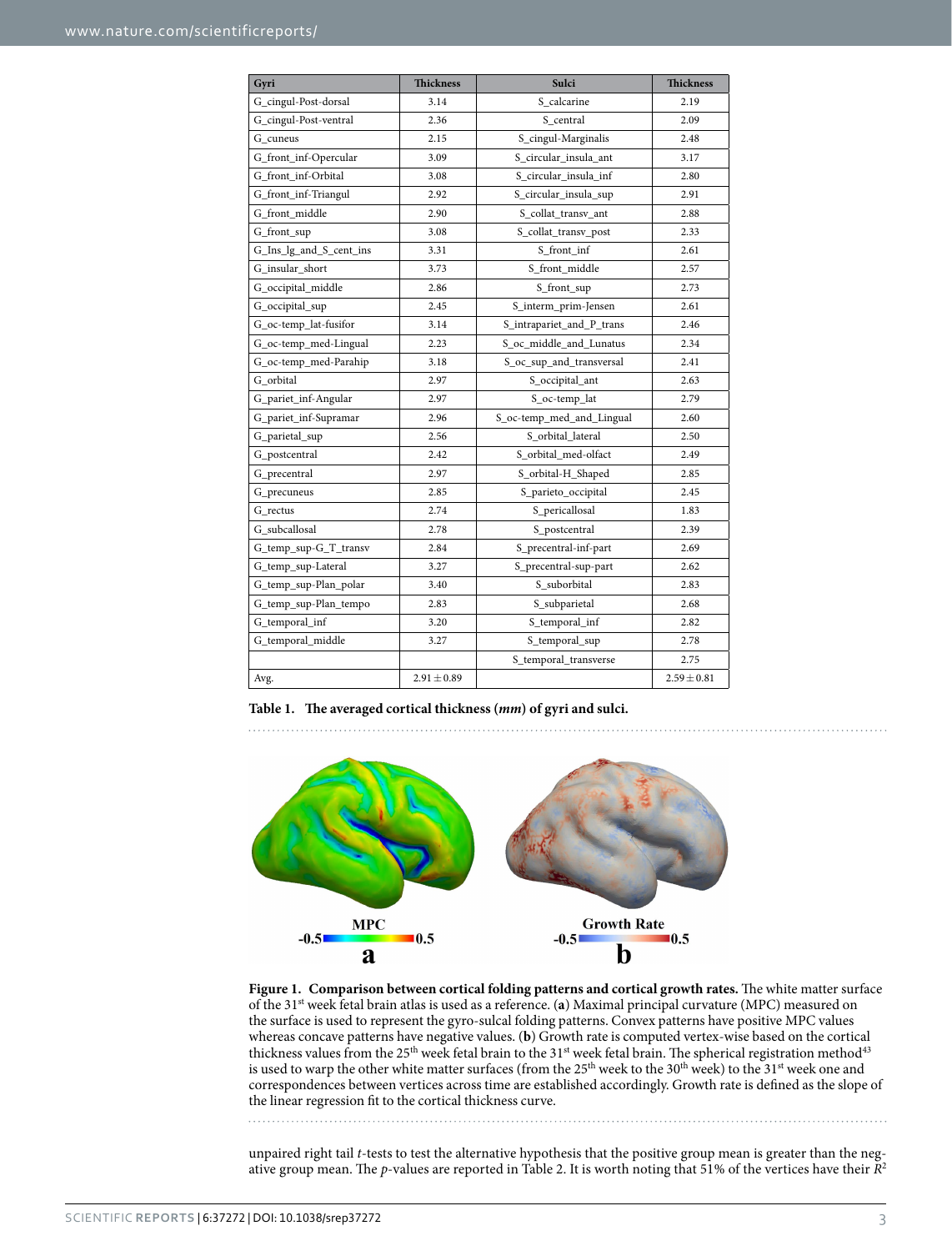<span id="page-2-0"></span>

| Gyri                    | <b>Thickness</b> | Sulci                     | <b>Thickness</b> |
|-------------------------|------------------|---------------------------|------------------|
| G_cingul-Post-dorsal    | 3.14             | S calcarine               | 2.19             |
| G_cingul-Post-ventral   | 2.36             | S central                 | 2.09             |
| G_cuneus                | 2.15             | S_cingul-Marginalis       | 2.48             |
| G_front_inf-Opercular   | 3.09             | S_circular_insula_ant     | 3.17             |
| G front inf-Orbital     | 3.08             | S_circular_insula_inf     | 2.80             |
| G_front_inf-Triangul    | 2.92             | S_circular_insula_sup     | 2.91             |
| G_front_middle          | 2.90             | S_collat_transv_ant       | 2.88             |
| G_front_sup             | 3.08             | S_collat_transv_post      | 2.33             |
| G_Ins_lg_and_S_cent_ins | 3.31             | S front inf               | 2.61             |
| G_insular_short         | 3.73             | S_front_middle            | 2.57             |
| G_occipital_middle      | 2.86             | S_front_sup               | 2.73             |
| G_occipital_sup         | 2.45             | S_interm_prim-Jensen      | 2.61             |
| G_oc-temp_lat-fusifor   | 3.14             | S_intrapariet_and_P_trans | 2.46             |
| G_oc-temp_med-Lingual   | 2.23             | S_oc_middle_and_Lunatus   | 2.34             |
| G_oc-temp_med-Parahip   | 3.18             | S_oc_sup_and_transversal  | 2.41             |
| G_orbital               | 2.97             | S_occipital_ant           | 2.63             |
| G_pariet_inf-Angular    | 2.97             | S_oc-temp_lat             | 2.79             |
| G_pariet_inf-Supramar   | 2.96             | S_oc-temp_med_and_Lingual | 2.60             |
| G_parietal_sup          | 2.56             | S_orbital_lateral         | 2.50             |
| G_postcentral           | 2.42             | S_orbital_med-olfact      | 2.49             |
| G_precentral            | 2.97             | S_orbital-H_Shaped        | 2.85             |
| G_precuneus             | 2.85             | S_parieto_occipital       | 2.45             |
| G rectus                | 2.74             | S_pericallosal            | 1.83             |
| G subcallosal           | 2.78             | S_postcentral             | 2.39             |
| G_temp_sup-G_T_transv   | 2.84             | S_precentral-inf-part     | 2.69             |
| G_temp_sup-Lateral      | 3.27             | S_precentral-sup-part     | 2.62             |
| G_temp_sup-Plan_polar   | 3.40             | S suborbital              | 2.83             |
| G_temp_sup-Plan_tempo   | 2.83             | S_subparietal             | 2.68             |
| G_temporal_inf          | 3.20             | S_temporal_inf            | 2.82             |
| G_temporal_middle       | 3.27             | S_temporal_sup            | 2.78             |
|                         |                  | S_temporal_transverse     | 2.75             |
| Avg.                    | $2.91 \pm 0.89$  |                           | $2.59 \pm 0.81$  |

**Table 1. The averaged cortical thickness (***mm***) of gyri and sulci.**



<span id="page-2-1"></span>**Figure 1. Comparison between cortical folding patterns and cortical growth rates.** The white matter surface of the 31st week fetal brain atlas is used as a reference. (**a**) Maximal principal curvature (MPC) measured on the surface is used to represent the gyro-sulcal folding patterns. Convex patterns have positive MPC values whereas concave patterns have negative values. (**b**) Growth rate is computed vertex-wise based on the cortical thickness values from the 25<sup>th</sup> week fetal brain to the 31<sup>st</sup> week fetal brain. The spherical registration method<sup>[43](#page-9-12)</sup> is used to warp the other white matter surfaces (from the 25<sup>th</sup> week to the 30<sup>th</sup> week) to the 31<sup>st</sup> week one and correspondences between vertices across time are established accordingly. Growth rate is defined as the slope of the linear regression fit to the cortical thickness curve.

unpaired right tail *t*-tests to test the alternative hypothesis that the positive group mean is greater than the negative group mean. The *p*-values are reported in [Table 2](#page-3-0). It is worth noting that 51% of the vertices have their *R*<sup>2</sup>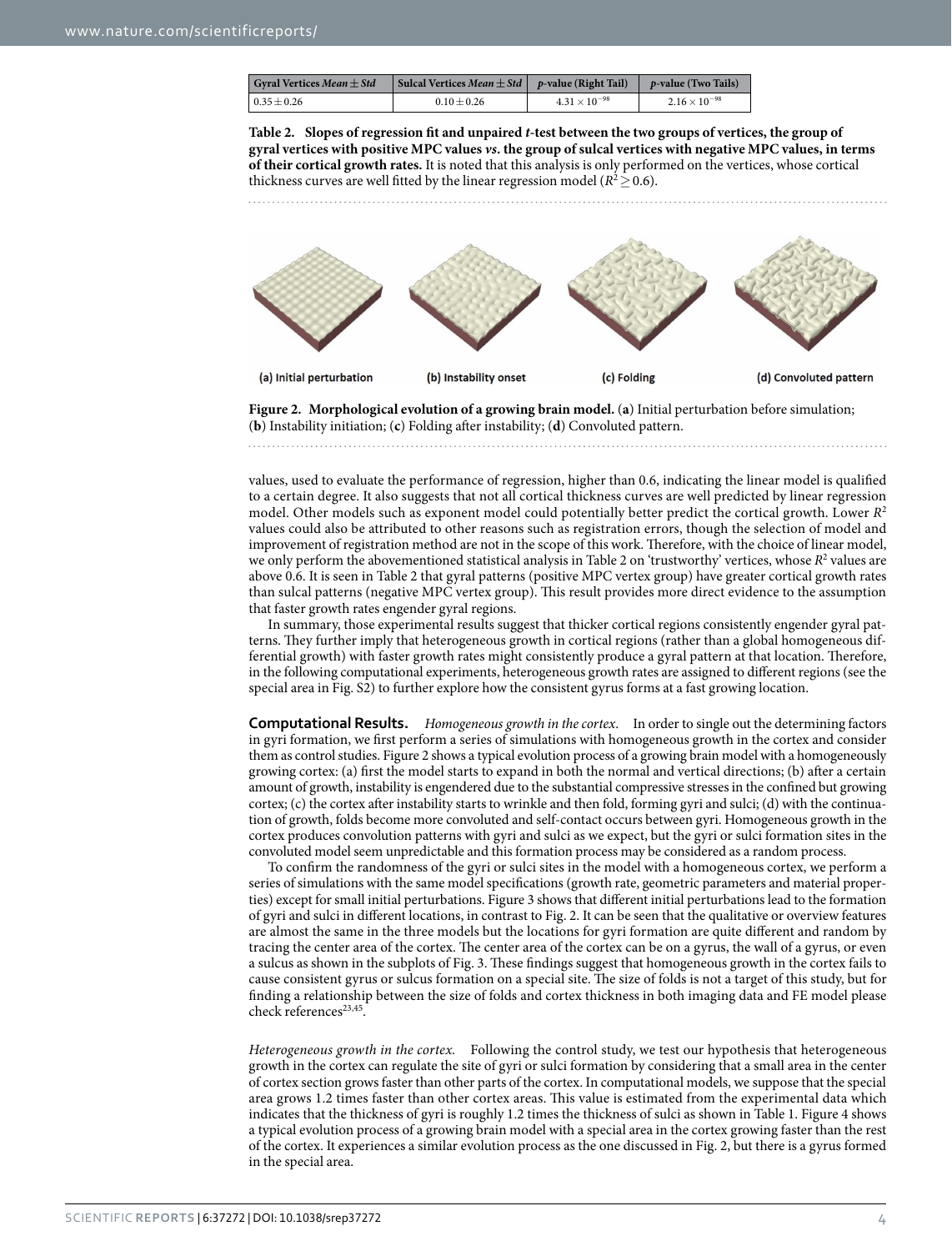<span id="page-3-0"></span>

| <b>Gyral Vertices Mean <math>\pm</math> Std</b> | Sulcal Vertices <i>Mean</i> $\pm$ <i>Std</i>   <i>p</i> -value (Right Tail) |                        | <i>p</i> -value (Two Tails) |
|-------------------------------------------------|-----------------------------------------------------------------------------|------------------------|-----------------------------|
| $0.35 \pm 0.26$                                 | $0.10 + 0.26$                                                               | $4.31 \times 10^{-98}$ | $2.16 \times 10^{-98}$      |

**Table 2. Slopes of regression fit and unpaired** *t***-test between the two groups of vertices, the group of gyral vertices with positive MPC values** *vs***. the group of sulcal vertices with negative MPC values, in terms of their cortical growth rates.** It is noted that this analysis is only performed on the vertices, whose cortical thickness curves are well fitted by the linear regression model ( $R^2 \ge 0.6$ ).



<span id="page-3-1"></span>**Figure 2. Morphological evolution of a growing brain model.** (**a**) Initial perturbation before simulation; (**b**) Instability initiation; (**c**) Folding after instability; (**d**) Convoluted pattern.

values, used to evaluate the performance of regression, higher than 0.6, indicating the linear model is qualified to a certain degree. It also suggests that not all cortical thickness curves are well predicted by linear regression model. Other models such as exponent model could potentially better predict the cortical growth. Lower *R*<sup>2</sup> values could also be attributed to other reasons such as registration errors, though the selection of model and improvement of registration method are not in the scope of this work. Therefore, with the choice of linear model, we only perform the abovementioned statistical analysis in [Table 2](#page-3-0) on 'trustworthy' vertices, whose  $R^2$  values are above 0.6. It is seen in [Table 2](#page-3-0) that gyral patterns (positive MPC vertex group) have greater cortical growth rates than sulcal patterns (negative MPC vertex group). This result provides more direct evidence to the assumption that faster growth rates engender gyral regions.

In summary, those experimental results suggest that thicker cortical regions consistently engender gyral patterns. They further imply that heterogeneous growth in cortical regions (rather than a global homogeneous differential growth) with faster growth rates might consistently produce a gyral pattern at that location. Therefore, in the following computational experiments, heterogeneous growth rates are assigned to different regions (see the special area in Fig. S2) to further explore how the consistent gyrus forms at a fast growing location.

**Computational Results.** *Homogeneous growth in the cortex*. In order to single out the determining factors in gyri formation, we first perform a series of simulations with homogeneous growth in the cortex and consider them as control studies. [Figure 2](#page-3-1) shows a typical evolution process of a growing brain model with a homogeneously growing cortex: (a) first the model starts to expand in both the normal and vertical directions; (b) after a certain amount of growth, instability is engendered due to the substantial compressive stresses in the confined but growing cortex; (c) the cortex after instability starts to wrinkle and then fold, forming gyri and sulci; (d) with the continuation of growth, folds become more convoluted and self-contact occurs between gyri. Homogeneous growth in the cortex produces convolution patterns with gyri and sulci as we expect, but the gyri or sulci formation sites in the convoluted model seem unpredictable and this formation process may be considered as a random process.

To confirm the randomness of the gyri or sulci sites in the model with a homogeneous cortex, we perform a series of simulations with the same model specifications (growth rate, geometric parameters and material properties) except for small initial perturbations. [Figure 3](#page-4-0) shows that different initial perturbations lead to the formation of gyri and sulci in different locations, in contrast to [Fig. 2.](#page-3-1) It can be seen that the qualitative or overview features are almost the same in the three models but the locations for gyri formation are quite different and random by tracing the center area of the cortex. The center area of the cortex can be on a gyrus, the wall of a gyrus, or even a sulcus as shown in the subplots of [Fig. 3.](#page-4-0) These findings suggest that homogeneous growth in the cortex fails to cause consistent gyrus or sulcus formation on a special site. The size of folds is not a target of this study, but for finding a relationship between the size of folds and cortex thickness in both imaging data and FE model please check references<sup>23,45</sup>.

*Heterogeneous growth in the cortex.* Following the control study, we test our hypothesis that heterogeneous growth in the cortex can regulate the site of gyri or sulci formation by considering that a small area in the center of cortex section grows faster than other parts of the cortex. In computational models, we suppose that the special area grows 1.2 times faster than other cortex areas. This value is estimated from the experimental data which indicates that the thickness of gyri is roughly 1.2 times the thickness of sulci as shown in [Table 1](#page-2-0). [Figure 4](#page-4-1) shows a typical evolution process of a growing brain model with a special area in the cortex growing faster than the rest of the cortex. It experiences a similar evolution process as the one discussed in [Fig. 2,](#page-3-1) but there is a gyrus formed in the special area.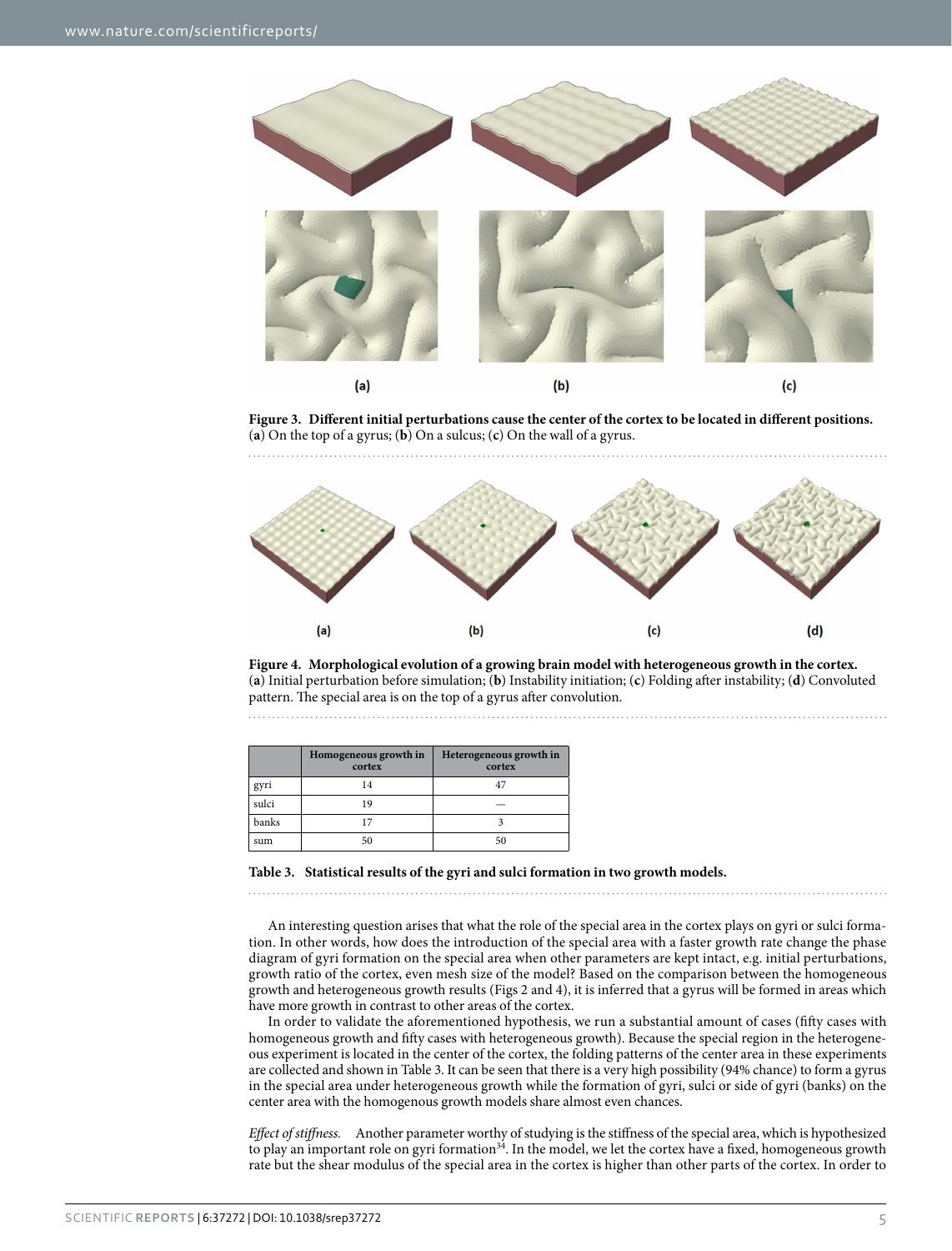

<span id="page-4-0"></span>**Figure 3. Different initial perturbations cause the center of the cortex to be located in different positions.**  (**a**) On the top of a gyrus; (**b**) On a sulcus; (**c**) On the wall of a gyrus.



<span id="page-4-1"></span>**Figure 4. Morphological evolution of a growing brain model with heterogeneous growth in the cortex.**  (**a**) Initial perturbation before simulation; (**b**) Instability initiation; (**c**) Folding after instability; (**d**) Convoluted pattern. The special area is on the top of a gyrus after convolution. 

<span id="page-4-2"></span>

|       | Homogeneous growth in<br>cortex | Heterogeneous growth in<br>cortex |
|-------|---------------------------------|-----------------------------------|
| gyri  | 14                              |                                   |
| sulci | 19                              |                                   |
| banks |                                 |                                   |
| sum   | 50                              |                                   |

**Table 3. Statistical results of the gyri and sulci formation in two growth models.**

An interesting question arises that what the role of the special area in the cortex plays on gyri or sulci formation. In other words, how does the introduction of the special area with a faster growth rate change the phase diagram of gyri formation on the special area when other parameters are kept intact, e.g. initial perturbations, growth ratio of the cortex, even mesh size of the model? Based on the comparison between the homogeneous growth and heterogeneous growth results [\(Figs 2](#page-3-1) and [4](#page-4-1)), it is inferred that a gyrus will be formed in areas which have more growth in contrast to other areas of the cortex.

In order to validate the aforementioned hypothesis, we run a substantial amount of cases (fifty cases with homogeneous growth and fifty cases with heterogeneous growth). Because the special region in the heterogeneous experiment is located in the center of the cortex, the folding patterns of the center area in these experiments are collected and shown in [Table 3](#page-4-2). It can be seen that there is a very high possibility (94% chance) to form a gyrus in the special area under heterogeneous growth while the formation of gyri, sulci or side of gyri (banks) on the center area with the homogenous growth models share almost even chances.

*Effect of stiffness.* Another parameter worthy of studying is the stiffness of the special area, which is hypothesized to play an important role on gyri formation<sup>[34](#page-9-5)</sup>. In the model, we let the cortex have a fixed, homogeneous growth rate but the shear modulus of the special area in the cortex is higher than other parts of the cortex. In order to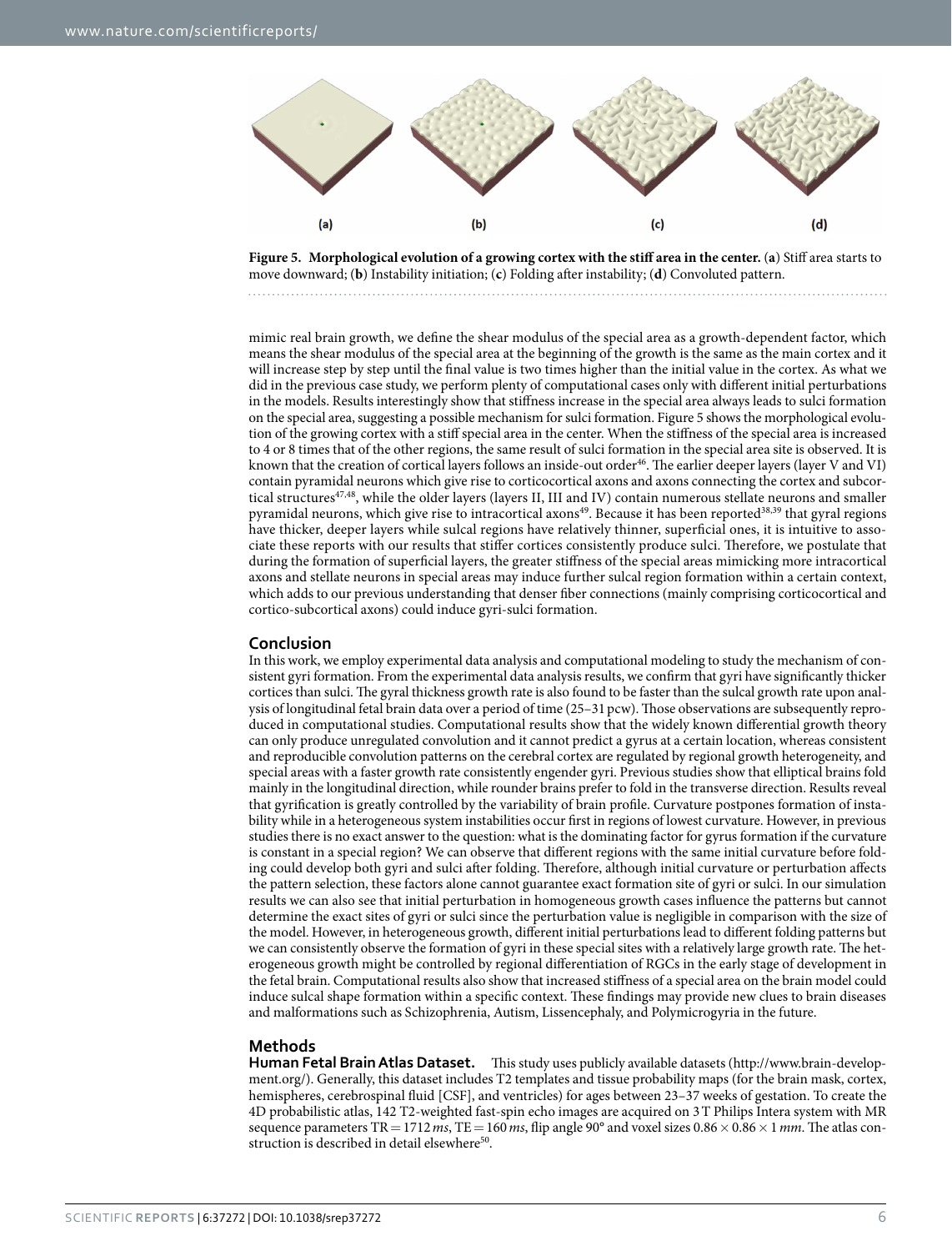

<span id="page-5-0"></span>**Figure 5. Morphological evolution of a growing cortex with the stiff area in the center.** (**a**) Stiff area starts to move downward; (**b**) Instability initiation; (**c**) Folding after instability; (**d**) Convoluted pattern.

mimic real brain growth, we define the shear modulus of the special area as a growth-dependent factor, which means the shear modulus of the special area at the beginning of the growth is the same as the main cortex and it will increase step by step until the final value is two times higher than the initial value in the cortex. As what we did in the previous case study, we perform plenty of computational cases only with different initial perturbations in the models. Results interestingly show that stiffness increase in the special area always leads to sulci formation on the special area, suggesting a possible mechanism for sulci formation. [Figure 5](#page-5-0) shows the morphological evolution of the growing cortex with a stiff special area in the center. When the stiffness of the special area is increased to 4 or 8 times that of the other regions, the same result of sulci formation in the special area site is observed. It is known that the creation of cortical layers follows an inside-out order[46](#page-9-15). The earlier deeper layers (layer V and VI) contain pyramidal neurons which give rise to corticocortical axons and axons connecting the cortex and subcor-tical structures<sup>[47](#page-9-16),48</sup>, while the older layers (layers II, III and IV) contain numerous stellate neurons and smaller pyramidal neurons, which give rise to intracortical axons<sup>[49](#page-9-18)</sup>. Because it has been reported<sup>38[,39](#page-9-20)</sup> that gyral regions have thicker, deeper layers while sulcal regions have relatively thinner, superficial ones, it is intuitive to associate these reports with our results that stiffer cortices consistently produce sulci. Therefore, we postulate that during the formation of superficial layers, the greater stiffness of the special areas mimicking more intracortical axons and stellate neurons in special areas may induce further sulcal region formation within a certain context, which adds to our previous understanding that denser fiber connections (mainly comprising corticocortical and cortico-subcortical axons) could induce gyri-sulci formation.

#### **Conclusion**

In this work, we employ experimental data analysis and computational modeling to study the mechanism of consistent gyri formation. From the experimental data analysis results, we confirm that gyri have significantly thicker cortices than sulci. The gyral thickness growth rate is also found to be faster than the sulcal growth rate upon analysis of longitudinal fetal brain data over a period of time (25-31 pcw). Those observations are subsequently reproduced in computational studies. Computational results show that the widely known differential growth theory can only produce unregulated convolution and it cannot predict a gyrus at a certain location, whereas consistent and reproducible convolution patterns on the cerebral cortex are regulated by regional growth heterogeneity, and special areas with a faster growth rate consistently engender gyri. Previous studies show that elliptical brains fold mainly in the longitudinal direction, while rounder brains prefer to fold in the transverse direction. Results reveal that gyrification is greatly controlled by the variability of brain profile. Curvature postpones formation of instability while in a heterogeneous system instabilities occur first in regions of lowest curvature. However, in previous studies there is no exact answer to the question: what is the dominating factor for gyrus formation if the curvature is constant in a special region? We can observe that different regions with the same initial curvature before folding could develop both gyri and sulci after folding. Therefore, although initial curvature or perturbation affects the pattern selection, these factors alone cannot guarantee exact formation site of gyri or sulci. In our simulation results we can also see that initial perturbation in homogeneous growth cases influence the patterns but cannot determine the exact sites of gyri or sulci since the perturbation value is negligible in comparison with the size of the model. However, in heterogeneous growth, different initial perturbations lead to different folding patterns but we can consistently observe the formation of gyri in these special sites with a relatively large growth rate. The heterogeneous growth might be controlled by regional differentiation of RGCs in the early stage of development in the fetal brain. Computational results also show that increased stiffness of a special area on the brain model could induce sulcal shape formation within a specific context. These findings may provide new clues to brain diseases and malformations such as Schizophrenia, Autism, Lissencephaly, and Polymicrogyria in the future.

#### **Methods**

**Human Fetal Brain Atlas Dataset.** This study uses publicly available datasets ([http://www.brain-develop](http://www.brain-development.org/)[ment.org/](http://www.brain-development.org/)). Generally, this dataset includes T2 templates and tissue probability maps (for the brain mask, cortex, hemispheres, cerebrospinal fluid [CSF], and ventricles) for ages between 23–37 weeks of gestation. To create the 4D probabilistic atlas, 142 T2-weighted fast-spin echo images are acquired on 3T Philips Intera system with MR sequence parameters TR=1712*ms*, TE=160*ms*, flip angle 90° and voxel sizes 0.86×0.86×1*mm*. The atlas con-struction is described in detail elsewhere<sup>[50](#page-9-21)</sup>.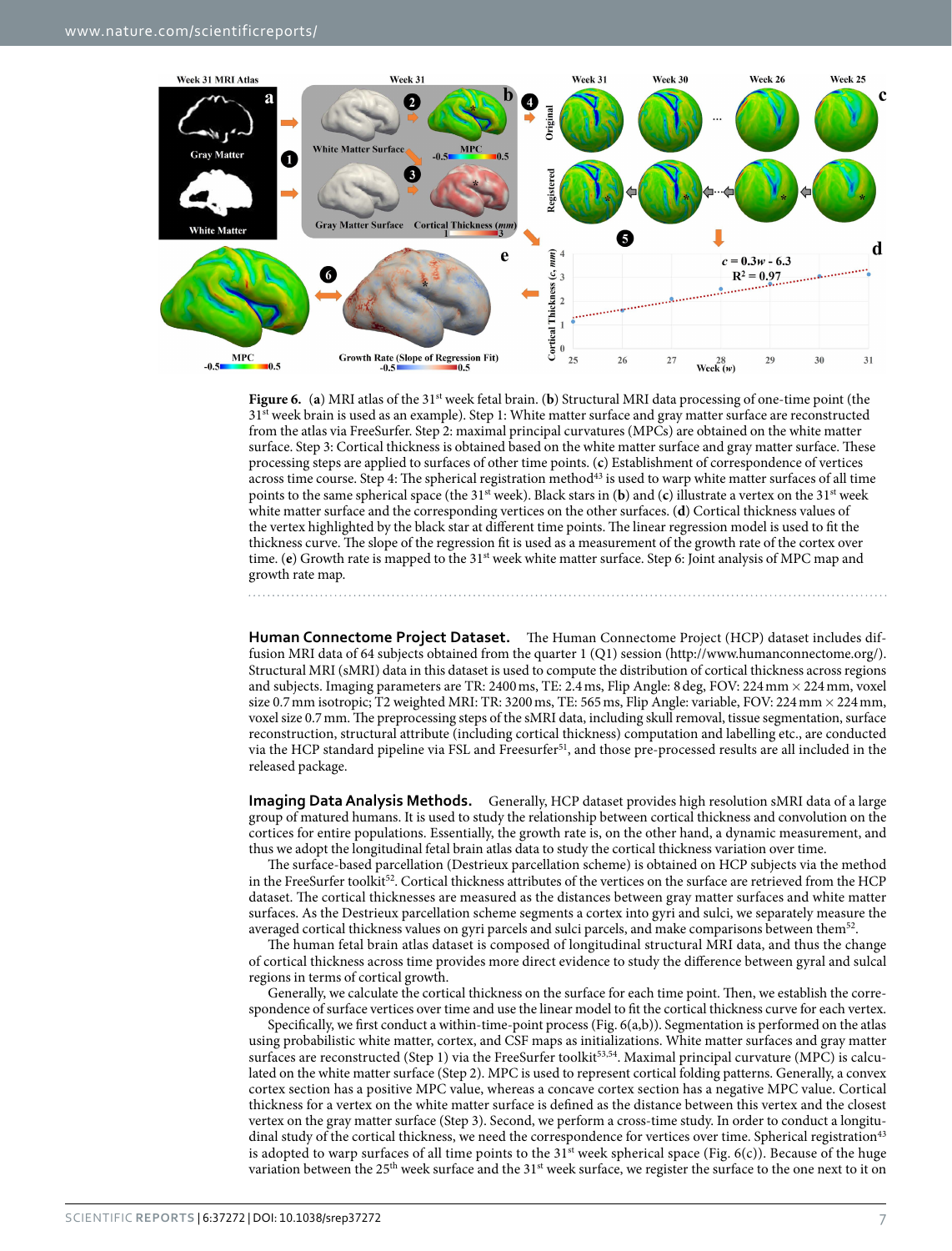

<span id="page-6-0"></span>**Figure 6.** (a) MRI atlas of the 31<sup>st</sup> week fetal brain. (b) Structural MRI data processing of one-time point (the 31<sup>st</sup> week brain is used as an example). Step 1: White matter surface and gray matter surface are reconstructed from the atlas via FreeSurfer. Step 2: maximal principal curvatures (MPCs) are obtained on the white matter surface. Step 3: Cortical thickness is obtained based on the white matter surface and gray matter surface. These processing steps are applied to surfaces of other time points. (**c**) Establishment of correspondence of vertices across time course. Step 4: The spherical registration method<sup>[43](#page-9-12)</sup> is used to warp white matter surfaces of all time points to the same spherical space (the 31st week). Black stars in (**b**) and (**c**) illustrate a vertex on the 31st week white matter surface and the corresponding vertices on the other surfaces. (**d**) Cortical thickness values of the vertex highlighted by the black star at different time points. The linear regression model is used to fit the thickness curve. The slope of the regression fit is used as a measurement of the growth rate of the cortex over time. (**e**) Growth rate is mapped to the 31<sup>st</sup> week white matter surface. Step 6: Joint analysis of MPC map and growth rate map.

**Human Connectome Project Dataset.** The Human Connectome Project (HCP) dataset includes diffusion MRI data of 64 subjects obtained from the quarter 1 (Q1) session [\(http://www.humanconnectome.org/](http://www.humanconnectome.org/)). Structural MRI (sMRI) data in this dataset is used to compute the distribution of cortical thickness across regions and subjects. Imaging parameters are TR: 2400 ms, TE: 2.4 ms, Flip Angle: 8 deg, FOV: 224 mm × 224 mm, voxel size 0.7 mm isotropic; T2 weighted MRI: TR: 3200 ms, TE: 565 ms, Flip Angle: variable, FOV: 224 mm × 224 mm, voxel size 0.7mm. The preprocessing steps of the sMRI data, including skull removal, tissue segmentation, surface reconstruction, structural attribute (including cortical thickness) computation and labelling etc., are conducted via the HCP standard pipeline via FSL and Freesurfer<sup>51</sup>, and those pre-processed results are all included in the released package.

**Imaging Data Analysis Methods.** Generally, HCP dataset provides high resolution sMRI data of a large group of matured humans. It is used to study the relationship between cortical thickness and convolution on the cortices for entire populations. Essentially, the growth rate is, on the other hand, a dynamic measurement, and thus we adopt the longitudinal fetal brain atlas data to study the cortical thickness variation over time.

The surface-based parcellation (Destrieux parcellation scheme) is obtained on HCP subjects via the method in the FreeSurfer toolkit<sup>52</sup>. Cortical thickness attributes of the vertices on the surface are retrieved from the HCP dataset. The cortical thicknesses are measured as the distances between gray matter surfaces and white matter surfaces. As the Destrieux parcellation scheme segments a cortex into gyri and sulci, we separately measure the averaged cortical thickness values on gyri parcels and sulci parcels, and make comparisons between them[52](#page-9-23).

The human fetal brain atlas dataset is composed of longitudinal structural MRI data, and thus the change of cortical thickness across time provides more direct evidence to study the difference between gyral and sulcal regions in terms of cortical growth.

Generally, we calculate the cortical thickness on the surface for each time point. Then, we establish the correspondence of surface vertices over time and use the linear model to fit the cortical thickness curve for each vertex.

Specifically, we first conduct a within-time-point process ([Fig. 6\(a,b\)](#page-6-0)). Segmentation is performed on the atlas using probabilistic white matter, cortex, and CSF maps as initializations. White matter surfaces and gray matter surfaces are reconstructed (Step 1) via the FreeSurfer toolkit<sup>[53](#page-9-24),[54](#page-9-25)</sup>. Maximal principal curvature (MPC) is calculated on the white matter surface (Step 2). MPC is used to represent cortical folding patterns. Generally, a convex cortex section has a positive MPC value, whereas a concave cortex section has a negative MPC value. Cortical thickness for a vertex on the white matter surface is defined as the distance between this vertex and the closest vertex on the gray matter surface (Step 3). Second, we perform a cross-time study. In order to conduct a longitudinal study of the cortical thickness, we need the correspondence for vertices over time. Spherical registration<sup>43</sup> is adopted to warp surfaces of all time points to the  $31<sup>st</sup>$  week spherical space [\(Fig. 6\(c\)](#page-6-0)). Because of the huge variation between the 25<sup>th</sup> week surface and the 31<sup>st</sup> week surface, we register the surface to the one next to it on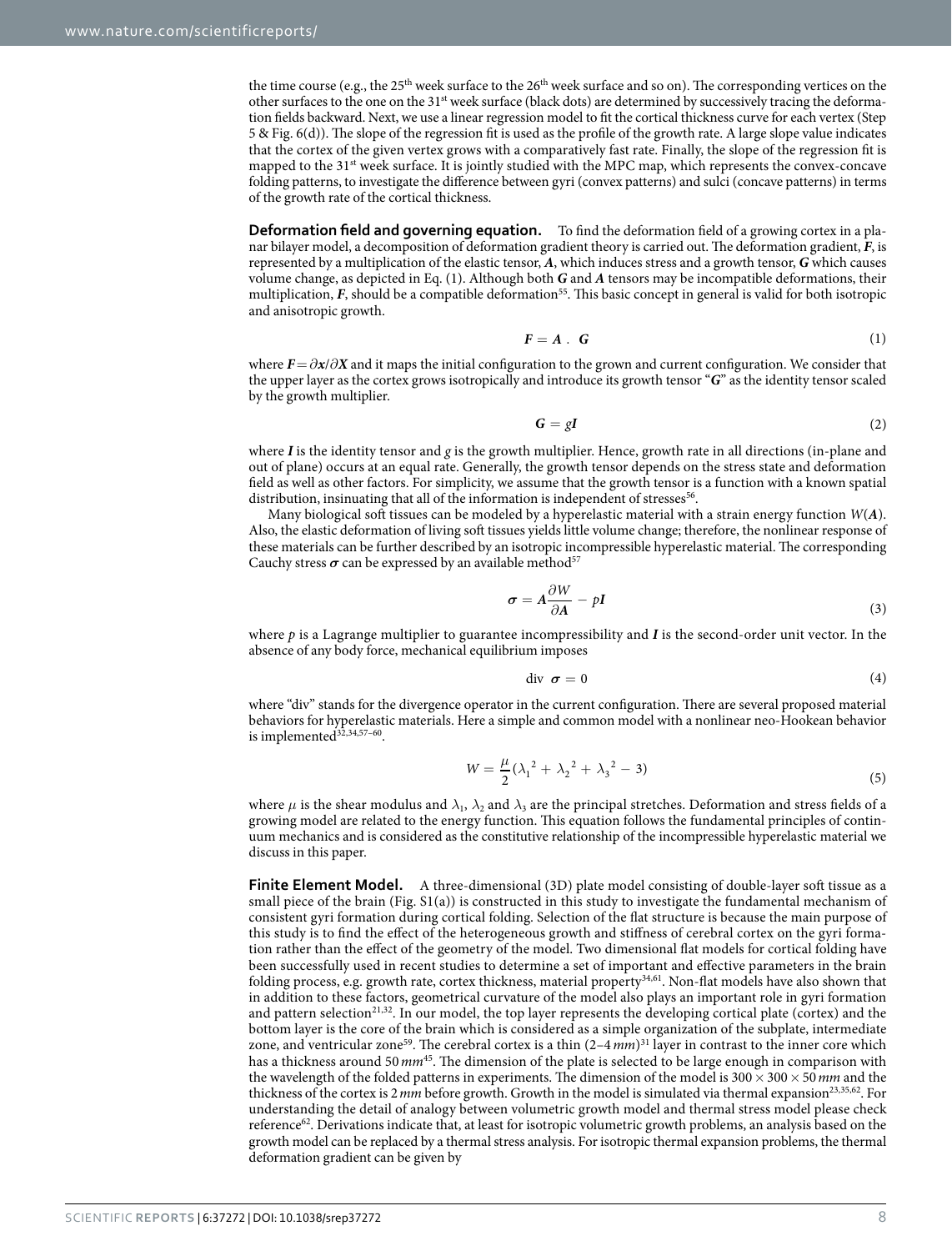the time course (e.g., the  $25<sup>th</sup>$  week surface to the  $26<sup>th</sup>$  week surface and so on). The corresponding vertices on the other surfaces to the one on the 31st week surface (black dots) are determined by successively tracing the deformation fields backward. Next, we use a linear regression model to fit the cortical thickness curve for each vertex (Step 5 & [Fig. 6\(d\)\)](#page-6-0). The slope of the regression fit is used as the profile of the growth rate. A large slope value indicates that the cortex of the given vertex grows with a comparatively fast rate. Finally, the slope of the regression fit is mapped to the 31st week surface. It is jointly studied with the MPC map, which represents the convex-concave folding patterns, to investigate the difference between gyri (convex patterns) and sulci (concave patterns) in terms of the growth rate of the cortical thickness.

**Deformation field and governing equation.** To find the deformation field of a growing cortex in a planar bilayer model, a decomposition of deformation gradient theory is carried out. The deformation gradient, *F*, is represented by a multiplication of the elastic tensor, *A*, which induces stress and a growth tensor, *G* which causes volume change, as depicted in Eq. (1). Although both *G* and *A* tensors may be incompatible deformations, their multiplication, *F*, should be a compatible deformation<sup>55</sup>. This basic concept in general is valid for both isotropic and anisotropic growth.

$$
F = A \cdot G \tag{1}
$$

where  $F = \partial x / \partial X$  and it maps the initial configuration to the grown and current configuration. We consider that the upper layer as the cortex grows isotropically and introduce its growth tensor "*G*" as the identity tensor scaled by the growth multiplier.

$$
G = gI \tag{2}
$$

where *I* is the identity tensor and *g* is the growth multiplier. Hence, growth rate in all directions (in-plane and out of plane) occurs at an equal rate. Generally, the growth tensor depends on the stress state and deformation field as well as other factors. For simplicity, we assume that the growth tensor is a function with a known spatial distribution, insinuating that all of the information is independent of stresses<sup>56</sup>.

Many biological soft tissues can be modeled by a hyperelastic material with a strain energy function *W*(*A*). Also, the elastic deformation of living soft tissues yields little volume change; therefore, the nonlinear response of these materials can be further described by an isotropic incompressible hyperelastic material. The corresponding Cauchy stress  $\sigma$  can be expressed by an available method<sup>[57](#page-9-28)</sup>

$$
\sigma = A \frac{\partial W}{\partial A} - pI \tag{3}
$$

where p is a Lagrange multiplier to guarantee incompressibility and I is the second-order unit vector. In the absence of any body force, mechanical equilibrium imposes

$$
\text{div} \ \ \boldsymbol{\sigma} = 0 \tag{4}
$$

where "div" stands for the divergence operator in the current configuration. There are several proposed material behaviors for hyperelastic materials. Here a simple and common model with a nonlinear neo-Hookean behavior is implemented $32,34,57-60$  $32,34,57-60$  $32,34,57-60$  $32,34,57-60$ .

$$
W = \frac{\mu}{2} (\lambda_1^2 + \lambda_2^2 + \lambda_3^2 - 3)
$$
\n(5)

where  $\mu$  is the shear modulus and  $\lambda_1$ ,  $\lambda_2$  and  $\lambda_3$  are the principal stretches. Deformation and stress fields of a growing model are related to the energy function. This equation follows the fundamental principles of continuum mechanics and is considered as the constitutive relationship of the incompressible hyperelastic material we discuss in this paper.

**Finite Element Model.** A three-dimensional (3D) plate model consisting of double-layer soft tissue as a small piece of the brain (Fig. S1(a)) is constructed in this study to investigate the fundamental mechanism of consistent gyri formation during cortical folding. Selection of the flat structure is because the main purpose of this study is to find the effect of the heterogeneous growth and stiffness of cerebral cortex on the gyri formation rather than the effect of the geometry of the model. Two dimensional flat models for cortical folding have been successfully used in recent studies to determine a set of important and effective parameters in the brain folding process, e.g. growth rate, cortex thickness, material property[34](#page-9-5),[61](#page-9-29). Non-flat models have also shown that in addition to these factors, geometrical curvature of the model also plays an important role in gyri formation and pattern selection<sup>[21,](#page-8-11)32</sup>. In our model, the top layer represents the developing cortical plate (cortex) and the bottom layer is the core of the brain which is considered as a simple organization of the subplate, intermediate zone, and ventricular zone<sup>59</sup>. The cerebral cortex is a thin  $(2-4 \, mm)^{31}$  layer in contrast to the inner core which has a thickness around 50*mm*[45.](#page-9-14) The dimension of the plate is selected to be large enough in comparison with the wavelength of the folded patterns in experiments. The dimension of the model is 300×300×50*mm* and the thickness of the cortex is 2 mm before growth. Growth in the model is simulated via thermal expansion<sup>23,[35,](#page-9-6)[62](#page-9-31)</sup>. For understanding the detail of analogy between volumetric growth model and thermal stress model please check reference<sup>[62](#page-9-31)</sup>. Derivations indicate that, at least for isotropic volumetric growth problems, an analysis based on the growth model can be replaced by a thermal stress analysis. For isotropic thermal expansion problems, the thermal deformation gradient can be given by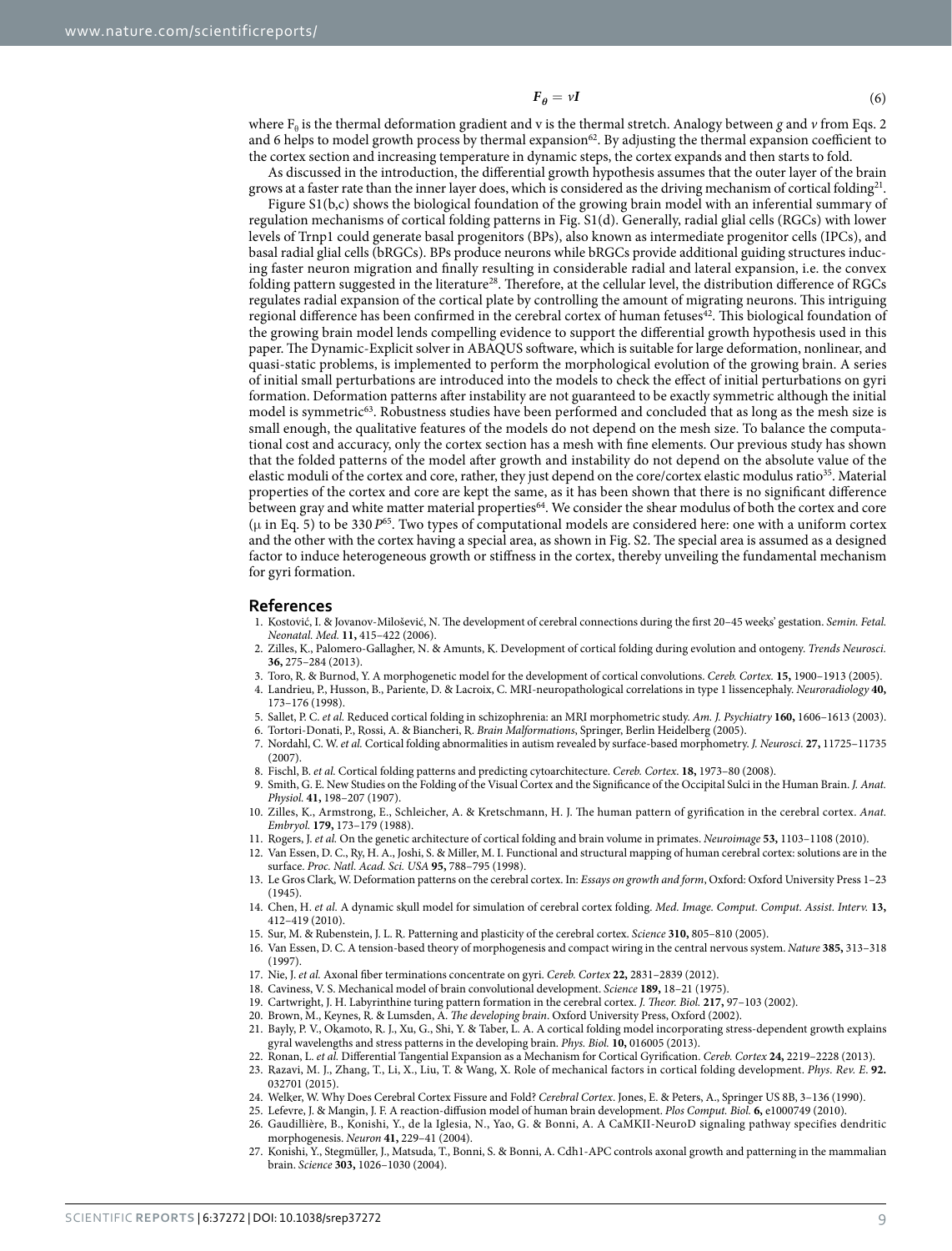$$
F_{\theta} = \nu I \tag{6}
$$

where  $F_{\theta}$  is the thermal deformation gradient and v is the thermal stretch. Analogy between *g* and *v* from Eqs. 2 and 6 helps to model growth process by thermal expansion $62$ . By adjusting the thermal expansion coefficient to the cortex section and increasing temperature in dynamic steps, the cortex expands and then starts to fold.

As discussed in the introduction, the differential growth hypothesis assumes that the outer layer of the brain grows at a faster rate than the inner layer does, which is considered as the driving mechanism of cortical folding<sup>21</sup>.

Figure S1(b,c) shows the biological foundation of the growing brain model with an inferential summary of regulation mechanisms of cortical folding patterns in Fig. S1(d). Generally, radial glial cells (RGCs) with lower levels of Trnp1 could generate basal progenitors (BPs), also known as intermediate progenitor cells (IPCs), and basal radial glial cells (bRGCs). BPs produce neurons while bRGCs provide additional guiding structures inducing faster neuron migration and finally resulting in considerable radial and lateral expansion, i.e. the convex folding pattern suggested in the literature[28.](#page-9-0) Therefore, at the cellular level, the distribution difference of RGCs regulates radial expansion of the cortical plate by controlling the amount of migrating neurons. This intriguing regional difference has been confirmed in the cerebral cortex of human fetuses<sup>42</sup>. This biological foundation of the growing brain model lends compelling evidence to support the differential growth hypothesis used in this paper. The Dynamic-Explicit solver in ABAQUS software, which is suitable for large deformation, nonlinear, and quasi-static problems, is implemented to perform the morphological evolution of the growing brain. A series of initial small perturbations are introduced into the models to check the effect of initial perturbations on gyri formation. Deformation patterns after instability are not guaranteed to be exactly symmetric although the initial model is symmetric<sup>63</sup>. Robustness studies have been performed and concluded that as long as the mesh size is small enough, the qualitative features of the models do not depend on the mesh size. To balance the computational cost and accuracy, only the cortex section has a mesh with fine elements. Our previous study has shown that the folded patterns of the model after growth and instability do not depend on the absolute value of the elastic moduli of the cortex and core, rather, they just depend on the core/cortex elastic modulus ratio<sup>35</sup>. Material properties of the cortex and core are kept the same, as it has been shown that there is no significant difference between gray and white matter material properties<sup>[64](#page-9-33)</sup>. We consider the shear modulus of both the cortex and core (μ in Eq. 5) to be 330 *P*[65](#page-9-34). Two types of computational models are considered here: one with a uniform cortex and the other with the cortex having a special area, as shown in Fig. S2. The special area is assumed as a designed factor to induce heterogeneous growth or stiffness in the cortex, thereby unveiling the fundamental mechanism for gyri formation.

#### **References**

- <span id="page-8-0"></span>1. Kostović, I. & Jovanov-Milošević, N. The development of cerebral connections during the first 20–45 weeks' gestation. *Semin. Fetal. Neonatal. Med.* **11,** 415–422 (2006).
- <span id="page-8-1"></span>2. Zilles, K., Palomero-Gallagher, N. & Amunts, K. Development of cortical folding during evolution and ontogeny. *Trends Neurosci.* **36,** 275–284 (2013).
- <span id="page-8-2"></span>3. Toro, R. & Burnod, Y. A morphogenetic model for the development of cortical convolutions. *Cereb. Cortex.* **15,** 1900–1913 (2005).
- <span id="page-8-3"></span>4. Landrieu, P., Husson, B., Pariente, D. & Lacroix, C. MRI-neuropathological correlations in type 1 lissencephaly. *Neuroradiology* **40,** 173–176 (1998).
- 5. Sallet, P. C. *et al.* Reduced cortical folding in schizophrenia: an MRI morphometric study. *Am. J. Psychiatry* **160,** 1606–1613 (2003).
- 6. Tortori-Donati, P., Rossi, A. & Biancheri, R. *Brain Malformations*, Springer, Berlin Heidelberg (2005).
- 7. Nordahl, C. W. *et al.* Cortical folding abnormalities in autism revealed by surface-based morphometry. *J. Neurosci.* **27,** 11725–11735  $(2007)$
- <span id="page-8-5"></span><span id="page-8-4"></span>8. Fischl, B. *et al.* Cortical folding patterns and predicting cytoarchitecture. *Cereb. Cortex*. **18,** 1973–80 (2008).
- 9. Smith, G. E. New Studies on the Folding of the Visual Cortex and the Significance of the Occipital Sulci in the Human Brain. *J. Anat. Physiol.* **41,** 198–207 (1907).
- 10. Zilles, K., Armstrong, E., Schleicher, A. & Kretschmann, H. J. The human pattern of gyrification in the cerebral cortex. *Anat. Embryol.* **179,** 173–179 (1988).
- 11. Rogers, J. *et al.* On the genetic architecture of cortical folding and brain volume in primates. *Neuroimage* **53,** 1103–1108 (2010).
- <span id="page-8-6"></span>12. Van Essen, D. C., Ry, H. A., Joshi, S. & Miller, M. I. Functional and structural mapping of human cerebral cortex: solutions are in the surface. *Proc. Natl. Acad. Sci. USA* **95,** 788–795 (1998).
- <span id="page-8-7"></span>13. Le Gros Clark, W. Deformation patterns on the cerebral cortex. In: *Essays on growth and form*, Oxford: Oxford University Press 1–23 (1945).
- <span id="page-8-8"></span>14. Chen, H. *et al.* A dynamic skull model for simulation of cerebral cortex folding. *Med. Image. Comput. Comput. Assist. Interv.* **13,** 412–419 (2010).
- <span id="page-8-9"></span>15. Sur, M. & Rubenstein, J. L. R. Patterning and plasticity of the cerebral cortex. *Science* **310,** 805–810 (2005).
- 16. Van Essen, D. C. A tension-based theory of morphogenesis and compact wiring in the central nervous system. *Nature* **385,** 313–318  $(1997)$
- <span id="page-8-10"></span>17. Nie, J. *et al.* Axonal fiber terminations concentrate on gyri. *Cereb. Cortex* **22,** 2831–2839 (2012).
- 18. Caviness, V. S. Mechanical model of brain convolutional development. *Science* **189,** 18–21 (1975).
- 19. Cartwright, J. H. Labyrinthine turing pattern formation in the cerebral cortex. *J. Theor. Biol.* **217,** 97–103 (2002).
- <span id="page-8-11"></span>20. Brown, M., Keynes, R. & Lumsden, A. *The developing brain*. Oxford University Press, Oxford (2002).
- 21. Bayly, P. V., Okamoto, R. J., Xu, G., Shi, Y. & Taber, L. A. A cortical folding model incorporating stress-dependent growth explains gyral wavelengths and stress patterns in the developing brain. *Phys. Biol.* **10,** 016005 (2013).
- 22. Ronan, L. *et al.* Differential Tangential Expansion as a Mechanism for Cortical Gyrification. *Cereb. Cortex* **24,** 2219–2228 (2013).
- <span id="page-8-15"></span>23. Razavi, M. J., Zhang, T., Li, X., Liu, T. & Wang, X. Role of mechanical factors in cortical folding development. *Phys. Rev. E*. **92.** 032701 (2015).
- <span id="page-8-12"></span>24. Welker, W. Why Does Cerebral Cortex Fissure and Fold? *Cerebral Cortex*. Jones, E. & Peters, A., Springer US 8B, 3–136 (1990).
- <span id="page-8-13"></span>25. Lefevre, J. & Mangin, J. F. A reaction-diffusion model of human brain development. *Plos Comput. Biol.* **6,** e1000749 (2010).
- <span id="page-8-14"></span>26. Gaudillière, B., Konishi, Y., de la Iglesia, N., Yao, G. & Bonni, A. A CaMKII-NeuroD signaling pathway specifies dendritic morphogenesis. *Neuron* **41,** 229–41 (2004).
- 27. Konishi, Y., Stegmüller, J., Matsuda, T., Bonni, S. & Bonni, A. Cdh1-APC controls axonal growth and patterning in the mammalian brain. *Science* **303,** 1026–1030 (2004).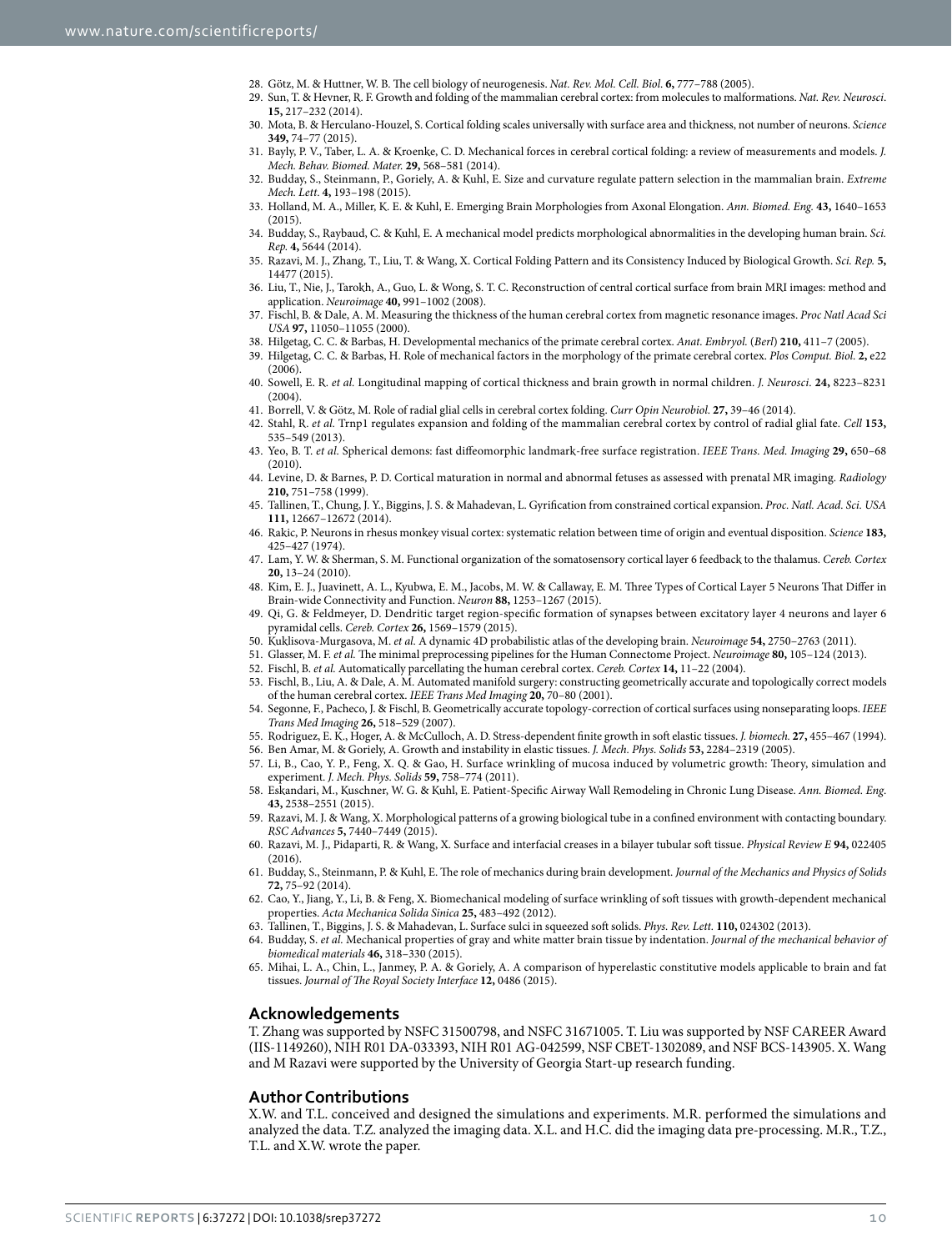- <span id="page-9-0"></span>28. Götz, M. & Huttner, W. B. The cell biology of neurogenesis. *Nat. Rev. Mol. Cell. Biol*. **6,** 777–788 (2005).
- 29. Sun, T. & Hevner, R. F. Growth and folding of the mammalian cerebral cortex: from molecules to malformations. *Nat. Rev. Neurosci*. **15,** 217–232 (2014).
- <span id="page-9-1"></span>30. Mota, B. & Herculano-Houzel, S. Cortical folding scales universally with surface area and thickness, not number of neurons. *Science* **349,** 74–77 (2015).
- <span id="page-9-2"></span>31. Bayly, P. V., Taber, L. A. & Kroenke, C. D. Mechanical forces in cerebral cortical folding: a review of measurements and models. *J. Mech. Behav. Biomed. Mater.* **29,** 568–581 (2014).
- <span id="page-9-3"></span>32. Budday, S., Steinmann, P., Goriely, A. & Kuhl, E. Size and curvature regulate pattern selection in the mammalian brain. *Extreme Mech. Lett*. **4,** 193–198 (2015).
- <span id="page-9-4"></span>33. Holland, M. A., Miller, K. E. & Kuhl, E. Emerging Brain Morphologies from Axonal Elongation. *Ann. Biomed. Eng.* **43,** 1640–1653 (2015).
- <span id="page-9-5"></span>34. Budday, S., Raybaud, C. & Kuhl, E. A mechanical model predicts morphological abnormalities in the developing human brain. *Sci. Rep.* **4,** 5644 (2014).
- <span id="page-9-6"></span>35. Razavi, M. J., Zhang, T., Liu, T. & Wang, X. Cortical Folding Pattern and its Consistency Induced by Biological Growth. *Sci. Rep.* **5,** 14477 (2015).
- <span id="page-9-7"></span>36. Liu, T., Nie, J., Tarokh, A., Guo, L. & Wong, S. T. C. Reconstruction of central cortical surface from brain MRI images: method and application. *Neuroimage* **40,** 991–1002 (2008).
- <span id="page-9-8"></span>37. Fischl, B. & Dale, A. M. Measuring the thickness of the human cerebral cortex from magnetic resonance images. *Proc Natl Acad Sci USA* **97,** 11050–11055 (2000).
- <span id="page-9-19"></span>38. Hilgetag, C. C. & Barbas, H. Developmental mechanics of the primate cerebral cortex. *Anat. Embryol.* (*Berl*) **210,** 411–7 (2005).
- <span id="page-9-20"></span>39. Hilgetag, C. C. & Barbas, H. Role of mechanical factors in the morphology of the primate cerebral cortex. *Plos Comput. Biol*. **2,** e22 (2006).
- <span id="page-9-9"></span>40. Sowell, E. R. *et al.* Longitudinal mapping of cortical thickness and brain growth in normal children. *J. Neurosci*. **24,** 8223–8231 (2004).
- <span id="page-9-11"></span><span id="page-9-10"></span>41. Borrell, V. & Götz, M. Role of radial glial cells in cerebral cortex folding. *Curr Opin Neurobiol*. **27,** 39–46 (2014).
- 42. Stahl, R. *et al.* Trnp1 regulates expansion and folding of the mammalian cerebral cortex by control of radial glial fate. *Cell* **153,** 535–549 (2013).
- <span id="page-9-12"></span>43. Yeo, B. T. *et al.* Spherical demons: fast diffeomorphic landmark-free surface registration. *IEEE Trans. Med. Imaging* **29,** 650–68 (2010).
- <span id="page-9-13"></span>44. Levine, D. & Barnes, P. D. Cortical maturation in normal and abnormal fetuses as assessed with prenatal MR imaging. *Radiology* **210,** 751–758 (1999).
- <span id="page-9-14"></span>45. Tallinen, T., Chung, J. Y., Biggins, J. S. & Mahadevan, L. Gyrification from constrained cortical expansion. *Proc. Natl. Acad. Sci. USA* **111,** 12667–12672 (2014).
- <span id="page-9-15"></span>46. Rakic, P. Neurons in rhesus monkey visual cortex: systematic relation between time of origin and eventual disposition. *Science* **183,** 425–427 (1974).
- <span id="page-9-16"></span>47. Lam, Y. W. & Sherman, S. M. Functional organization of the somatosensory cortical layer 6 feedback to the thalamus. *Cereb. Cortex* **20,** 13–24 (2010).
- <span id="page-9-17"></span>48. Kim, E. J., Juavinett, A. L., Kyubwa, E. M., Jacobs, M. W. & Callaway, E. M. Three Types of Cortical Layer 5 Neurons That Differ in Brain-wide Connectivity and Function. *Neuron* **88,** 1253–1267 (2015).
- <span id="page-9-18"></span>49. Qi, G. & Feldmeyer, D. Dendritic target region-specific formation of synapses between excitatory layer 4 neurons and layer 6 pyramidal cells. *Cereb. Cortex* **26,** 1569–1579 (2015).
- <span id="page-9-22"></span><span id="page-9-21"></span>50. Kuklisova-Murgasova, M. *et al.* A dynamic 4D probabilistic atlas of the developing brain. *Neuroimage* **54,** 2750–2763 (2011).
- 51. Glasser, M. F. *et al.* The minimal preprocessing pipelines for the Human Connectome Project. *Neuroimage* **80,** 105–124 (2013).
- <span id="page-9-24"></span><span id="page-9-23"></span>52. Fischl, B. *et al.* Automatically parcellating the human cerebral cortex. *Cereb. Cortex* **14,** 11–22 (2004).
- 53. Fischl, B., Liu, A. & Dale, A. M. Automated manifold surgery: constructing geometrically accurate and topologically correct models of the human cerebral cortex. *IEEE Trans Med Imaging* **20,** 70–80 (2001).
- <span id="page-9-25"></span>54. Segonne, F., Pacheco, J. & Fischl, B. Geometrically accurate topology-correction of cortical surfaces using nonseparating loops. *IEEE Trans Med Imaging* **26,** 518–529 (2007).
- <span id="page-9-26"></span>55. Rodriguez, E. K., Hoger, A. & McCulloch, A. D. Stress-dependent finite growth in soft elastic tissues. *J. biomech.* **27,** 455–467 (1994).
- <span id="page-9-27"></span>56. Ben Amar, M. & Goriely, A. Growth and instability in elastic tissues. *J. Mech. Phys. Solids* **53,** 2284–2319 (2005).
- <span id="page-9-28"></span>57. Li, B., Cao, Y. P., Feng, X. Q. & Gao, H. Surface wrinkling of mucosa induced by volumetric growth: Theory, simulation and experiment. *J. Mech. Phys. Solids* **59,** 758–774 (2011).
- 58. Eskandari, M., Kuschner, W. G. & Kuhl, E. Patient-Specific Airway Wall Remodeling in Chronic Lung Disease. *Ann. Biomed. Eng*. **43,** 2538–2551 (2015).
- <span id="page-9-30"></span>59. Razavi, M. J. & Wang, X. Morphological patterns of a growing biological tube in a confined environment with contacting boundary. *RSC Advances* **5,** 7440–7449 (2015).
- 60. Razavi, M. J., Pidaparti, R. & Wang, X. Surface and interfacial creases in a bilayer tubular soft tissue. *Physical Review E* **94,** 022405 (2016).
- <span id="page-9-29"></span>61. Budday, S., Steinmann, P. & Kuhl, E. The role of mechanics during brain development. *Journal of the Mechanics and Physics of Solids* **72,** 75–92 (2014).
- <span id="page-9-31"></span>62. Cao, Y., Jiang, Y., Li, B. & Feng, X. Biomechanical modeling of surface wrinkling of soft tissues with growth-dependent mechanical properties. *Acta Mechanica Solida Sinica* **25,** 483–492 (2012).
- <span id="page-9-32"></span>63. Tallinen, T., Biggins, J. S. & Mahadevan, L. Surface sulci in squeezed soft solids. *Phys. Rev. Lett.* **110,** 024302 (2013).
- <span id="page-9-33"></span>64. Budday, S. *et al.* Mechanical properties of gray and white matter brain tissue by indentation. *Journal of the mechanical behavior of biomedical materials* **46,** 318–330 (2015).
- <span id="page-9-34"></span>65. Mihai, L. A., Chin, L., Janmey, P. A. & Goriely, A. A comparison of hyperelastic constitutive models applicable to brain and fat tissues. *Journal of The Royal Society Interface* **12,** 0486 (2015).

#### **Acknowledgements**

T. Zhang was supported by NSFC 31500798, and NSFC 31671005. T. Liu was supported by NSF CAREER Award (IIS-1149260), NIH R01 DA-033393, NIH R01 AG-042599, NSF CBET-1302089, and NSF BCS-143905. X. Wang and M Razavi were supported by the University of Georgia Start-up research funding.

#### **Author Contributions**

X.W. and T.L. conceived and designed the simulations and experiments. M.R. performed the simulations and analyzed the data. T.Z. analyzed the imaging data. X.L. and H.C. did the imaging data pre-processing. M.R., T.Z., T.L. and X.W. wrote the paper.